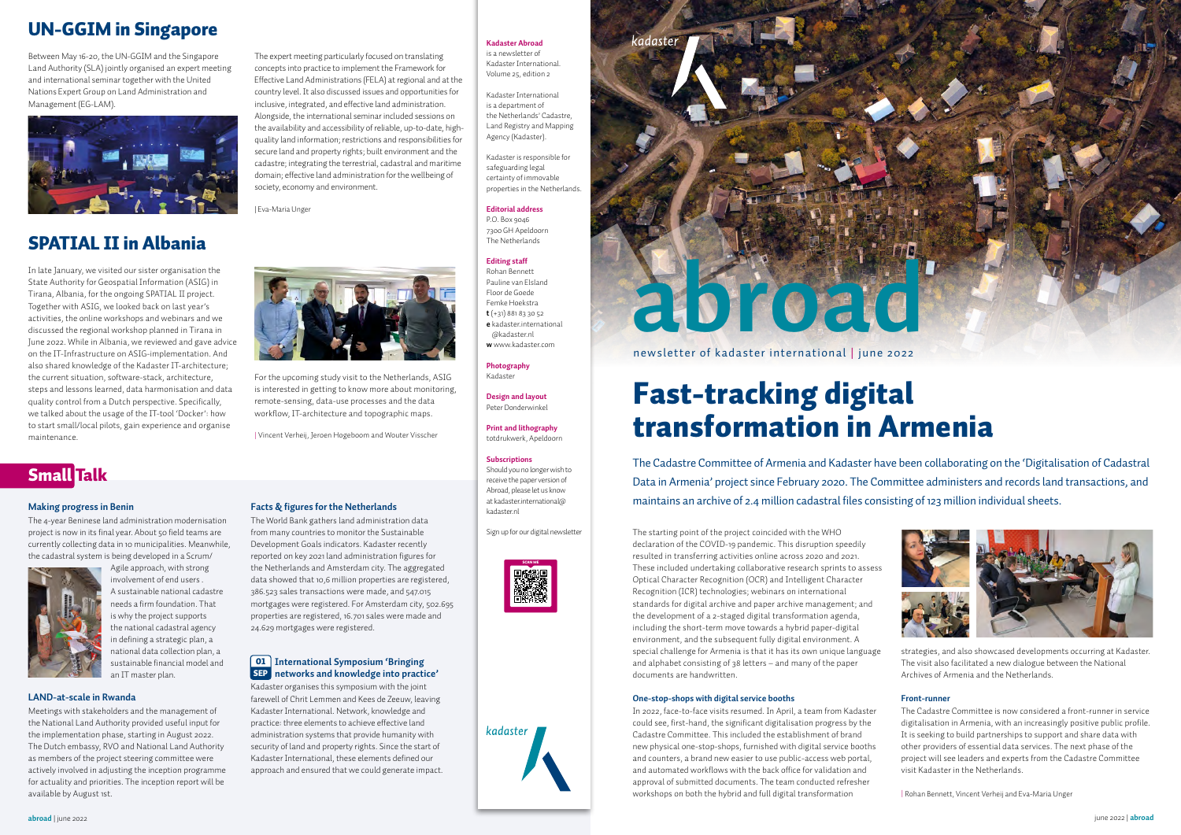# Fast-tracking digital transformation in Armenia

The starting point of the project coincided with the WHO declaration of the COVID-19 pandemic. This disruption speedily resulted in transferring activities online across 2020 and 2021. These included undertaking collaborative research sprints to assess Optical Character Recognition (OCR) and Intelligent Character Recognition (ICR) technologies; webinars on international standards for digital archive and paper archive management; and the development of a 2-staged digital transformation agenda, including the short-term move towards a hybrid paper-digital environment, and the subsequent fully digital environment. A special challenge for Armenia is that it has its own unique language and alphabet consisting of 38 letters – and many of the paper documents are handwritten.

#### **One-stop-shops with digital service booths**

In 2022, face-to-face visits resumed. In April, a team from Kadaster could see, first-hand, the significant digitalisation progress by the Cadastre Committee. This included the establishment of brand new physical one-stop-shops, furnished with digital service booths and counters, a brand new easier to use public-access web portal, and automated workflows with the back office for validation and approval of submitted documents. The team conducted refresher workshops on both the hybrid and full digital transformation

strategies, and also showcased developments occurring at Kadaster. The visit also facilitated a new dialogue between the National Archives of Armenia and the Netherlands.

#### **Front-runner**

The Cadastre Committee is now considered a front-runner in service digitalisation in Armenia, with an increasingly positive public profile. It is seeking to build partnerships to support and share data with other providers of essential data services. The next phase of the project will see leaders and experts from the Cadastre Committee visit Kadaster in the Netherlands.

| Rohan Bennett, Vincent Verheij and Eva-Maria Unger

The Cadastre Committee of Armenia and Kadaster have been collaborating on the 'Digitalisation of Cadastral Data in Armenia' project since February 2020. The Committee administers and records land transactions, and maintains an archive of 2.4 million cadastral files consisting of 123 million individual sheets.

In late January, we visited our sister organisation the State Authority for Geospatial Information (ASIG) in Tirana, Albania, for the ongoing SPATIAL II project. Together with ASIG, we looked back on last year's activities, the online workshops and webinars and we discussed the regional workshop planned in Tirana in June 2022. While in Albania, we reviewed and gave advice on the IT-Infrastructure on ASIG-implementation. And also shared knowledge of the Kadaster IT-architecture; the current situation, software-stack, architecture, steps and lessons learned, data harmonisation and data quality control from a Dutch perspective. Specifically, we talked about the usage of the IT-tool 'Docker': how to start small/local pilots, gain experience and organise maintenance.

For the upcoming study visit to the Netherlands, ASIG is interested in getting to know more about monitoring, remote-sensing, data-use processes and the data workflow, IT-architecture and topographic maps.

| Vincent Verheij, Jeroen Hogeboom and Wouter Visscher

## SPATIAL II in Albania

## UN-GGIM in Singapore

Between May 16-20, the UN-GGIM and the Singapore Land Authority (SLA) jointly organised an expert meeting and international seminar together with the United Nations Expert Group on Land Administration and Management (EG-LAM).



The expert meeting particularly focused on translating concepts into practice to implement the Framework for Effective Land Administrations (FELA) at regional and at the country level. It also discussed issues and opportunities for inclusive, integrated, and effective land administration. Alongside, the international seminar included sessions on the availability and accessibility of reliable, up-to-date, highquality land information; restrictions and responsibilities for secure land and property rights; built environment and the cadastre; integrating the terrestrial, cadastral and maritime domain; effective land administration for the wellbeing of society, economy and environment.

| Eva-Maria Unger



## Small Talk



#### **Making progress in Benin**

The 4-year Beninese land administration modernisation project is now in its final year. About 50 field teams are currently collecting data in 10 municipalities. Meanwhile, the cadastral system is being developed in a Scrum/



Agile approach, with strong involvement of end users . A sustainable national cadastre needs a firm foundation. That is why the project supports the national cadastral agency in defining a strategic plan, a national data collection plan, a sustainable financial model and an IT master plan.

#### **LAND-at-scale in Rwanda**

Meetings with stakeholders and the management of the National Land Authority provided useful input for the implementation phase, starting in August 2022. The Dutch embassy, RVO and National Land Authority as members of the project steering committee were actively involved in adjusting the inception programme for actuality and priorities. The inception report will be available by August 1st.

#### **Facts & figures for the Netherlands**

The World Bank gathers land administration data from many countries to monitor the Sustainable Development Goals indicators. Kadaster recently reported on key 2021 land administration figures for the Netherlands and Amsterdam city. The aggregated data showed that 10,6 million properties are registered, 386.523 sales transactions were made, and 547.015 mortgages were registered. For Amsterdam city, 502.695 properties are registered, 16.701 sales were made and 24.629 mortgages were registered.

Kadaster organises this symposium with the joint farewell of Chrit Lemmen and Kees de Zeeuw, leaving Kadaster International. Network, knowledge and practice: three elements to achieve effective land administration systems that provide humanity with security of land and property rights. Since the start of Kadaster International, these elements defined our approach and ensured that we could generate impact.





#### **Kadaster Abroad**

is a newsletter of Kadaster International. Volume 25, edition 2

Kadaster International is a department of the Netherlands' Cadastre, Land Registry and Mapping Agency (Kadaster).

#### **International Symposium 'Bringing**  01 **networks and knowledge into practice'** SEP

Kadaster is responsible for safeguarding legal certainty of immovable properties in the Netherlands.

#### **Editorial address**

P.O. Box 9046 7300 GH Apeldoorn The Netherlands

#### **Editing staff**

Rohan Bennett Pauline van Elsland Floor de Goede Femke Hoekstra **t** (+31) 881 83 30 52 **e** kadaster international [@kadaster.nl](mailto:kadaster.international%40kadaster.nl?subject=)

**w** [www.kadaster.com](https://www.kadaster.com)

**Photography** Kadaster

**Design and layout**  Peter Donderwinkel

**Print and lithography**  totdrukwerk, Apeldoorn

#### **Subscriptions**

Should you no longer wish to receive the paper version of Abroad, please let us know at [kadaster.international@](mailto:kadaster.international%40kadaster.nl?subject=) [kadaster.nl](mailto:kadaster.international%40kadaster.nl?subject=)

Sign up for our digital newsletter